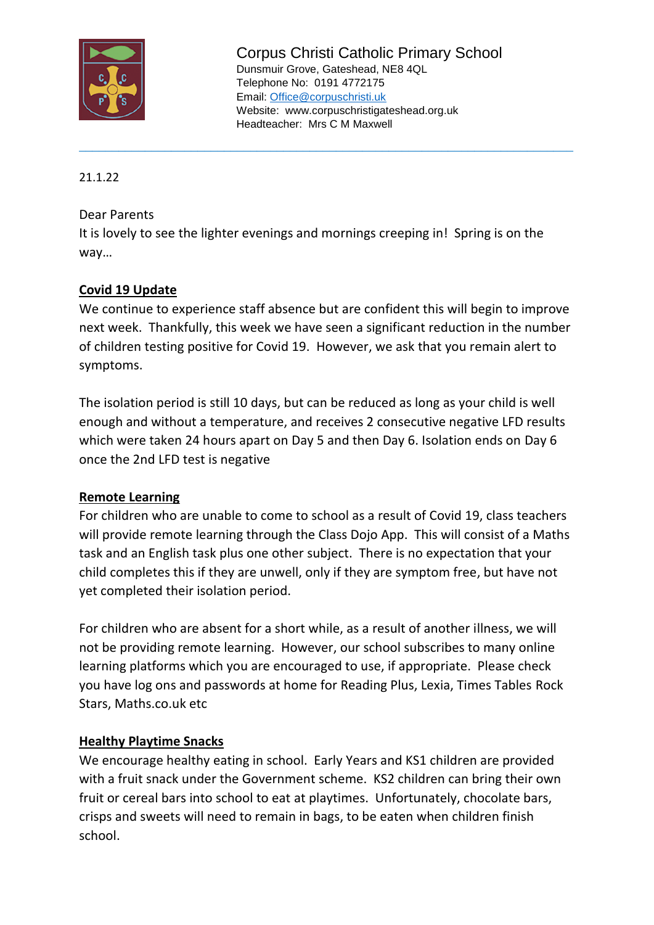

Corpus Christi Catholic Primary School Dunsmuir Grove, Gateshead, NE8 4QL Telephone No: 0191 4772175 Email: [Office@corpuschristi.uk](mailto:Office@corpuschristi.uk) Website: www.corpuschristigateshead.org.uk Headteacher: Mrs C M Maxwell

21.1.22

## Dear Parents

It is lovely to see the lighter evenings and mornings creeping in! Spring is on the way…

\_\_\_\_\_\_\_\_\_\_\_\_\_\_\_\_\_\_\_\_\_\_\_\_\_\_\_\_\_\_\_\_\_\_\_\_\_\_\_\_\_\_\_\_\_\_\_\_\_\_\_\_\_\_\_\_\_\_\_\_\_\_\_\_\_\_\_\_\_\_\_\_\_\_\_

## **Covid 19 Update**

We continue to experience staff absence but are confident this will begin to improve next week. Thankfully, this week we have seen a significant reduction in the number of children testing positive for Covid 19. However, we ask that you remain alert to symptoms.

The isolation period is still 10 days, but can be reduced as long as your child is well enough and without a temperature, and receives 2 consecutive negative LFD results which were taken 24 hours apart on Day 5 and then Day 6. Isolation ends on Day 6 once the 2nd LFD test is negative

## **Remote Learning**

For children who are unable to come to school as a result of Covid 19, class teachers will provide remote learning through the Class Dojo App. This will consist of a Maths task and an English task plus one other subject. There is no expectation that your child completes this if they are unwell, only if they are symptom free, but have not yet completed their isolation period.

For children who are absent for a short while, as a result of another illness, we will not be providing remote learning. However, our school subscribes to many online learning platforms which you are encouraged to use, if appropriate. Please check you have log ons and passwords at home for Reading Plus, Lexia, Times Tables Rock Stars, Maths.co.uk etc

## **Healthy Playtime Snacks**

We encourage healthy eating in school. Early Years and KS1 children are provided with a fruit snack under the Government scheme. KS2 children can bring their own fruit or cereal bars into school to eat at playtimes. Unfortunately, chocolate bars, crisps and sweets will need to remain in bags, to be eaten when children finish school.